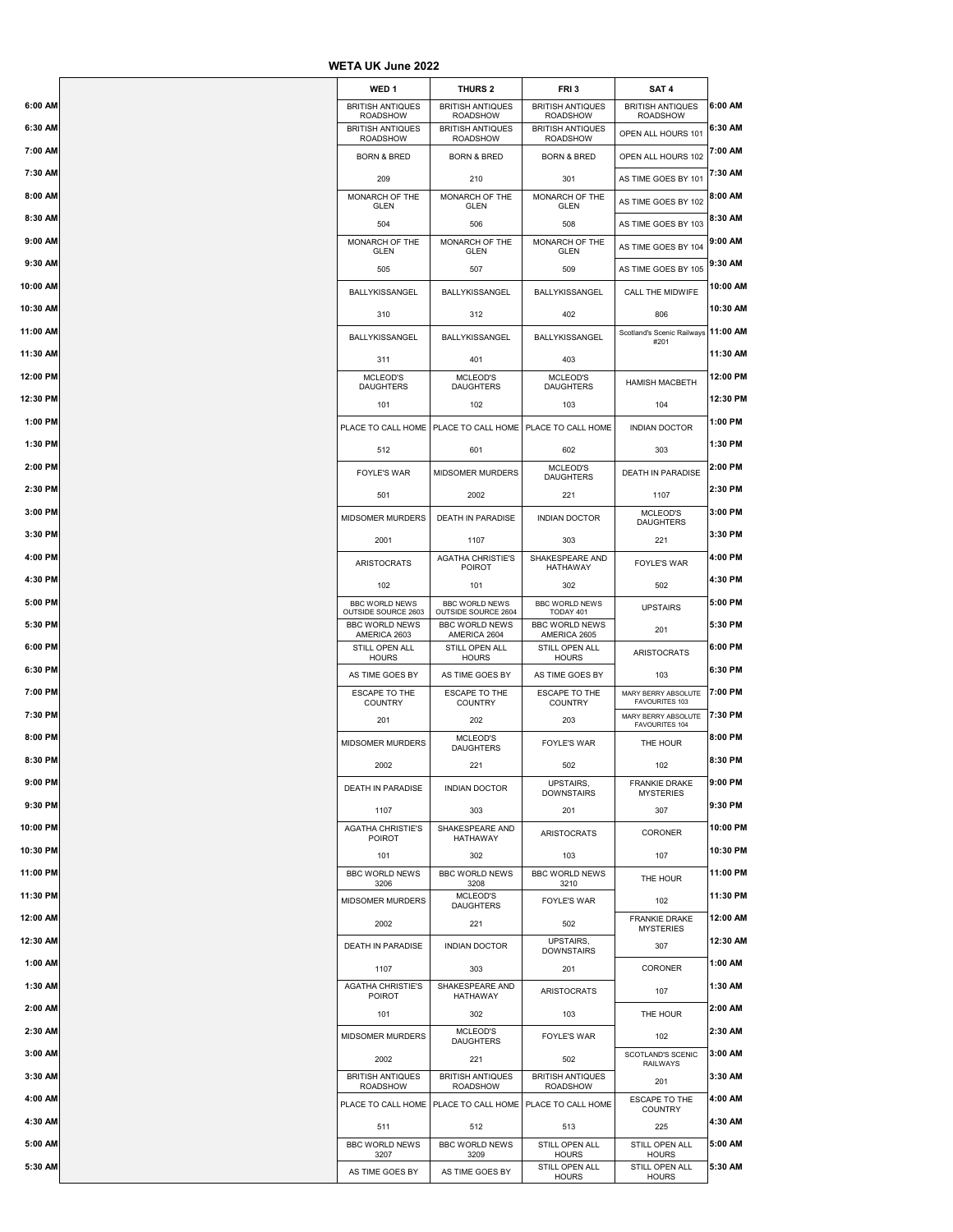|          | WED <sub>1</sub>                             | <b>THURS 2</b>                                               | FRI <sub>3</sub>                           | SAT 4                                  |          |
|----------|----------------------------------------------|--------------------------------------------------------------|--------------------------------------------|----------------------------------------|----------|
| 6:00 AM  | <b>BRITISH ANTIQUES</b><br><b>ROADSHOW</b>   | <b>BRITISH ANTIQUES</b><br><b>ROADSHOW</b>                   | <b>BRITISH ANTIQUES</b><br><b>ROADSHOW</b> | <b>BRITISH ANTIQUES</b><br>ROADSHOW    | 6:00 AM  |
| 6:30 AM  | <b>BRITISH ANTIQUES</b><br><b>ROADSHOW</b>   | <b>BRITISH ANTIQUES</b><br><b>ROADSHOW</b>                   | <b>BRITISH ANTIQUES</b><br><b>ROADSHOW</b> | OPEN ALL HOURS 101                     | 6:30 AM  |
| 7:00 AM  | <b>BORN &amp; BRED</b>                       | <b>BORN &amp; BRED</b>                                       | <b>BORN &amp; BRED</b>                     | OPEN ALL HOURS 102                     | 7:00 AM  |
| 7:30 AM  | 209                                          | 210                                                          | 301                                        | AS TIME GOES BY 101                    | 7:30 AM  |
| 8:00 AM  | MONARCH OF THE                               | MONARCH OF THE                                               | MONARCH OF THE                             | AS TIME GOES BY 102                    | 8:00 AM  |
| 8:30 AM  | <b>GLEN</b><br>504                           | GLEN<br>506                                                  | <b>GLEN</b><br>508                         | AS TIME GOES BY 103                    | 8:30 AM  |
| 9:00 AM  | MONARCH OF THE                               | MONARCH OF THE                                               | MONARCH OF THE                             | AS TIME GOES BY 104                    | 9:00 AM  |
| 9:30 AM  | <b>GLEN</b>                                  | GLEN                                                         | <b>GLEN</b>                                |                                        | 9:30 AM  |
| 10:00 AM | 505                                          | 507                                                          | 509                                        | AS TIME GOES BY 105                    | 10:00 AM |
| 10:30 AM | BALLYKISSANGEL                               | BALLYKISSANGEL                                               | BALLYKISSANGEL                             | <b>CALL THE MIDWIFE</b>                | 10:30 AM |
| 11:00 AM | 310                                          | 312                                                          | 402                                        | 806                                    | 11:00 AM |
|          | BALLYKISSANGEL                               | BALLYKISSANGEL                                               | BALLYKISSANGEL                             | Scotland's Scenic Railways<br>#201     |          |
| 11:30 AM | 311                                          | 401                                                          | 403                                        |                                        | 11:30 AM |
| 12:00 PM | MCLEOD'S<br><b>DAUGHTERS</b>                 | <b>MCLEOD'S</b><br><b>DAUGHTERS</b>                          | <b>MCLEOD'S</b><br><b>DAUGHTERS</b>        | <b>HAMISH MACBETH</b>                  | 12:00 PM |
| 12:30 PM | 101                                          | 102                                                          | 103                                        | 104                                    | 12:30 PM |
| 1:00 PM  |                                              | PLACE TO CALL HOME   PLACE TO CALL HOME   PLACE TO CALL HOME |                                            | <b>INDIAN DOCTOR</b>                   | 1:00 PM  |
| 1:30 PM  | 512                                          | 601                                                          | 602                                        | 303                                    | 1:30 PM  |
| 2:00 PM  | <b>FOYLE'S WAR</b>                           | <b>MIDSOMER MURDERS</b>                                      | <b>MCLEOD'S</b><br><b>DAUGHTERS</b>        | <b>DEATH IN PARADISE</b>               | 2:00 PM  |
| 2:30 PM  | 501                                          | 2002                                                         | 221                                        | 1107                                   | 2:30 PM  |
| 3:00 PM  | MIDSOMER MURDERS                             | <b>DEATH IN PARADISE</b>                                     | <b>INDIAN DOCTOR</b>                       | MCLEOD'S<br><b>DAUGHTERS</b>           | 3:00 PM  |
| 3:30 PM  | 2001                                         | 1107                                                         | 303                                        | 221                                    | 3:30 PM  |
| 4:00 PM  | <b>ARISTOCRATS</b>                           | <b>AGATHA CHRISTIE'S</b><br><b>POIROT</b>                    | SHAKESPEARE AND<br>HATHAWAY                | <b>FOYLE'S WAR</b>                     | 4:00 PM  |
| 4:30 PM  | 102                                          | 101                                                          | 302                                        | 502                                    | 4:30 PM  |
| 5:00 PM  | <b>BBC WORLD NEWS</b><br>OUTSIDE SOURCE 2603 | <b>BBC WORLD NEWS</b><br>OUTSIDE SOURCE 2604                 | <b>BBC WORLD NEWS</b><br>TODAY 401         | <b>UPSTAIRS</b>                        | 5:00 PM  |
| 5:30 PM  | <b>BBC WORLD NEWS</b><br>AMERICA 2603        | <b>BBC WORLD NEWS</b><br>AMERICA 2604                        | <b>BBC WORLD NEWS</b><br>AMERICA 2605      | 201                                    | 5:30 PM  |
| 6:00 PM  | STILL OPEN ALL                               | STILL OPEN ALL                                               | STILL OPEN ALL                             | <b>ARISTOCRATS</b>                     | 6:00 PM  |
| 6:30 PM  | <b>HOURS</b><br>AS TIME GOES BY              | <b>HOURS</b><br>AS TIME GOES BY                              | <b>HOURS</b><br>AS TIME GOES BY            | 103                                    | 6:30 PM  |
| 7:00 PM  | <b>ESCAPE TO THE</b>                         | ESCAPE TO THE                                                | ESCAPE TO THE                              | MARY BERRY ABSOLUTE<br>FAVOURITES 103  | 7:00 PM  |
| 7:30 PM  | <b>COUNTRY</b><br>201                        | <b>COUNTRY</b><br>202                                        | <b>COUNTRY</b><br>203                      | MARY BERRY ABSOLUTE                    | 7:30 PM  |
| 8:00 PM  | MIDSOMER MURDERS                             | MCLEOD'S                                                     | <b>FOYLE'S WAR</b>                         | <b>FAVOURITES 104</b><br>THE HOUR      | 8:00 PM  |
| 8:30 PM  | 2002                                         | <b>DAUGHTERS</b><br>221                                      | 502                                        | 102                                    | 8:30 PM  |
| 9:00 PM  | DEATH IN PARADISE                            | <b>INDIAN DOCTOR</b>                                         | <b>UPSTAIRS</b>                            | <b>FRANKIE DRAKE</b>                   | 9:00 PM  |
| 9:30 PM  | 1107                                         | 303                                                          | <b>DOWNSTAIRS</b><br>201                   | <b>MYSTERIES</b><br>307                | 9:30 PM  |
| 10:00 PM | <b>AGATHA CHRISTIE'S</b>                     | SHAKESPEARE AND                                              |                                            | CORONER                                | 10:00 PM |
| 10:30 PM | <b>POIROT</b>                                | HATHAWAY                                                     | <b>ARISTOCRATS</b>                         |                                        | 10:30 PM |
| 11:00 PM | 101<br><b>BBC WORLD NEWS</b>                 | 302<br><b>BBC WORLD NEWS</b>                                 | 103<br><b>BBC WORLD NEWS</b>               | 107                                    | 11:00 PM |
| 11:30 PM | 3206                                         | 3208<br>MCLEOD'S                                             | 3210                                       | THE HOUR                               | 11:30 PM |
| 12:00 AM | <b>MIDSOMER MURDERS</b>                      | <b>DAUGHTERS</b>                                             | <b>FOYLE'S WAR</b>                         | 102<br><b>FRANKIE DRAKE</b>            | 12:00 AM |
| 12:30 AM | 2002                                         | 221                                                          | 502<br>UPSTAIRS,                           | <b>MYSTERIES</b>                       | 12:30 AM |
| 1:00 AM  | <b>DEATH IN PARADISE</b>                     | <b>INDIAN DOCTOR</b>                                         | <b>DOWNSTAIRS</b>                          | 307                                    | 1:00 AM  |
| 1:30 AM  | 1107<br><b>AGATHA CHRISTIE'S</b>             | 303<br>SHAKESPEARE AND                                       | 201                                        | CORONER                                | 1:30 AM  |
| 2:00 AM  | <b>POIROT</b>                                | HATHAWAY                                                     | <b>ARISTOCRATS</b>                         | 107                                    | 2:00 AM  |
|          | 101                                          | 302                                                          | 103                                        | THE HOUR                               |          |
| 2:30 AM  | MIDSOMER MURDERS                             | MCLEOD'S<br><b>DAUGHTERS</b>                                 | <b>FOYLE'S WAR</b>                         | 102                                    | 2:30 AM  |
| 3:00 AM  | 2002                                         | 221                                                          | 502                                        | SCOTLAND'S SCENIC<br><b>RAILWAYS</b>   | 3:00 AM  |
| 3:30 AM  | <b>BRITISH ANTIQUES</b><br><b>ROADSHOW</b>   | <b>BRITISH ANTIQUES</b><br><b>ROADSHOW</b>                   | <b>BRITISH ANTIQUES</b><br><b>ROADSHOW</b> | 201                                    | 3:30 AM  |
| 4:00 AM  | PLACE TO CALL HOME                           | PLACE TO CALL HOME                                           | PLACE TO CALL HOME                         | <b>ESCAPE TO THE</b><br><b>COUNTRY</b> | 4:00 AM  |
| 4:30 AM  | 511                                          | 512                                                          | 513                                        | 225                                    | 4:30 AM  |
| 5:00 AM  | <b>BBC WORLD NEWS</b><br>3207                | <b>BBC WORLD NEWS</b><br>3209                                | STILL OPEN ALL<br><b>HOURS</b>             | STILL OPEN ALL<br><b>HOURS</b>         | 5:00 AM  |
| 5:30 AM  | AS TIME GOES BY                              | AS TIME GOES BY                                              | STILL OPEN ALL<br><b>HOURS</b>             | STILL OPEN ALL<br><b>HOURS</b>         | 5:30 AM  |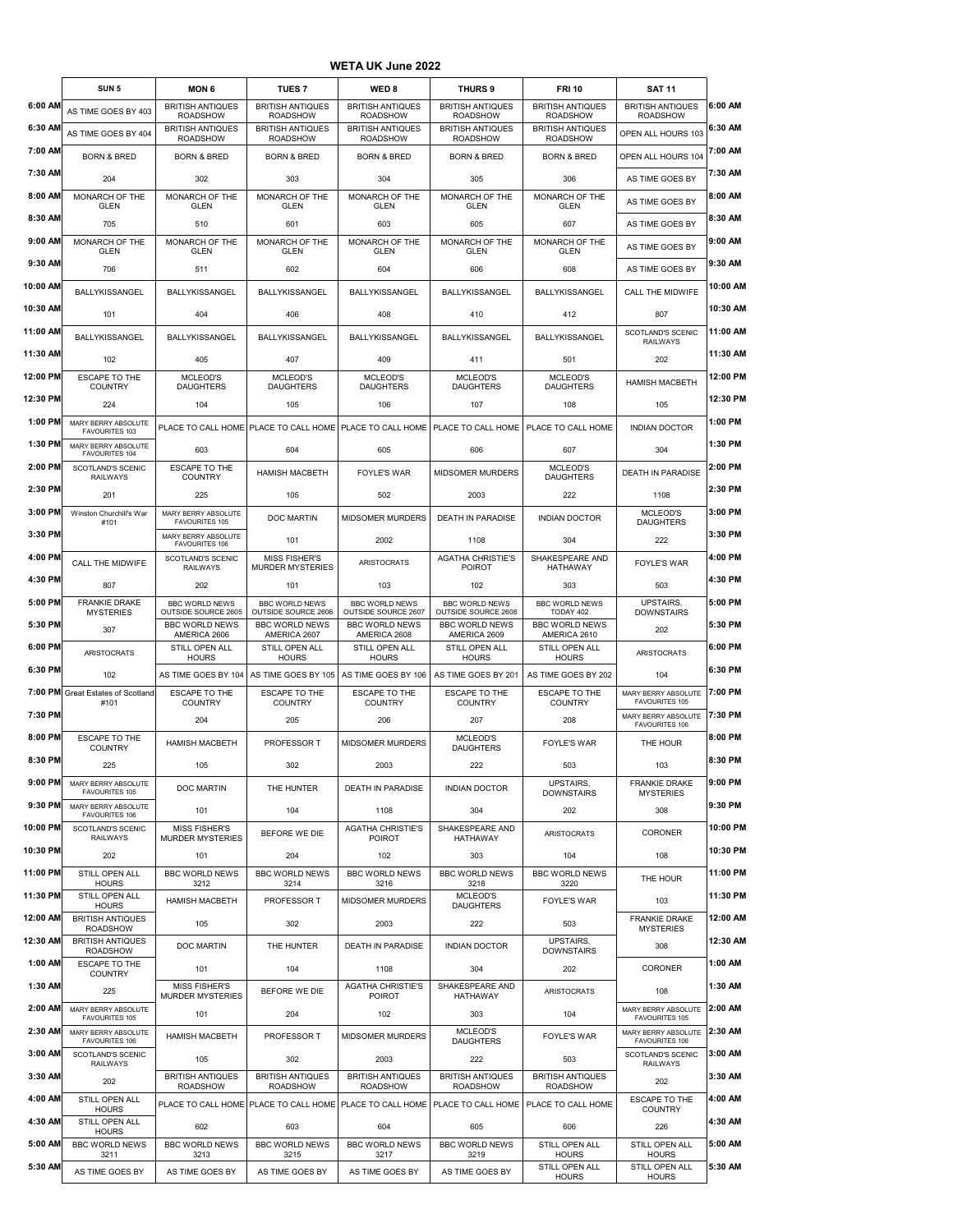|                     | SUN <sub>5</sub>                                             | MON <sub>6</sub>                                                    | TUES <sub>7</sub>                            | WED <sub>8</sub>                                         | <b>THURS 9</b>                               | <b>FRI 10</b>                               | <b>SAT 11</b>                                |                      |
|---------------------|--------------------------------------------------------------|---------------------------------------------------------------------|----------------------------------------------|----------------------------------------------------------|----------------------------------------------|---------------------------------------------|----------------------------------------------|----------------------|
| 6:00 AM             | AS TIME GOES BY 403                                          | <b>BRITISH ANTIQUES</b><br><b>ROADSHOW</b>                          | <b>BRITISH ANTIQUES</b><br><b>ROADSHOW</b>   | <b>BRITISH ANTIQUES</b><br><b>ROADSHOW</b>               | <b>BRITISH ANTIQUES</b><br><b>ROADSHOW</b>   | <b>BRITISH ANTIQUES</b><br><b>ROADSHOW</b>  | <b>BRITISH ANTIQUES</b><br><b>ROADSHOW</b>   | 6:00 AM              |
| 6:30 AM             | AS TIME GOES BY 404                                          | <b>BRITISH ANTIQUES</b><br><b>ROADSHOW</b>                          | <b>BRITISH ANTIQUES</b><br><b>ROADSHOW</b>   | <b>BRITISH ANTIQUES</b><br><b>ROADSHOW</b>               | <b>BRITISH ANTIQUES</b><br><b>ROADSHOW</b>   | <b>BRITISH ANTIQUES</b><br><b>ROADSHOW</b>  | OPEN ALL HOURS 103                           | 6:30 AM              |
| 7:00 AM             | <b>BORN &amp; BRED</b>                                       | <b>BORN &amp; BRED</b>                                              | <b>BORN &amp; BRED</b>                       | BORN & BRED                                              | <b>BORN &amp; BRED</b>                       | <b>BORN &amp; BRED</b>                      | OPEN ALL HOURS 104                           | 7:00 AM              |
| 7:30 AM             | 204                                                          | 302                                                                 | 303                                          | 304                                                      | 305                                          | 306                                         | AS TIME GOES BY                              | 7:30 AM              |
| 8:00 AM             | MONARCH OF THE<br>GLEN                                       | MONARCH OF THE<br><b>GLEN</b>                                       | MONARCH OF THE<br><b>GLEN</b>                | MONARCH OF THE<br><b>GLEN</b>                            | MONARCH OF THE<br><b>GLEN</b>                | MONARCH OF THE<br><b>GLEN</b>               | AS TIME GOES BY                              | 8:00 AM              |
| 8:30 AM             | 705                                                          | 510                                                                 | 601                                          | 603                                                      | 605                                          | 607                                         | AS TIME GOES BY                              | 8:30 AM              |
| 9:00 AM             | MONARCH OF THE<br>GLEN                                       | MONARCH OF THE<br>GLEN                                              | MONARCH OF THE<br>GLEN                       | MONARCH OF THE<br><b>GLEN</b>                            | MONARCH OF THE<br><b>GLEN</b>                | MONARCH OF THE<br><b>GLEN</b>               | AS TIME GOES BY                              | 9:00 AM              |
| 9:30 AM             | 706                                                          | 511                                                                 | 602                                          | 604                                                      | 606                                          | 608                                         | AS TIME GOES BY                              | 9:30 AM              |
| 10:00 AM            | BALLYKISSANGEL                                               | BALLYKISSANGEL                                                      | BALLYKISSANGEL                               | BALLYKISSANGEL                                           | BALLYKISSANGEL                               | BALLYKISSANGEL                              | CALL THE MIDWIFE                             | 10:00 AM             |
| 10:30 AM            | 101                                                          | 404                                                                 | 406                                          | 408                                                      | 410                                          | 412                                         | 807                                          | 10:30 AM             |
| 11:00 AM            | BALLYKISSANGEL                                               | BALLYKISSANGEL                                                      | BALLYKISSANGEL                               | BALLYKISSANGEL                                           | BALLYKISSANGEL                               | BALLYKISSANGEL                              | SCOTLAND'S SCENIC<br><b>RAILWAYS</b>         | 11:00 AM             |
| 11:30 AM            | 102                                                          | 405                                                                 | 407                                          | 409                                                      | 411                                          | 501                                         | 202                                          | 11:30 AM             |
| 12:00 PM            | <b>ESCAPE TO THE</b><br><b>COUNTRY</b>                       | <b>MCLEOD'S</b><br><b>DAUGHTERS</b>                                 | MCLEOD'S<br><b>DAUGHTERS</b>                 | <b>MCLEOD'S</b><br>DAUGHTERS                             | MCLEOD'S<br><b>DAUGHTERS</b>                 | <b>MCLEOD'S</b><br><b>DAUGHTERS</b>         | <b>HAMISH MACBETH</b>                        | 12:00 PM<br>12:30 PM |
| 12:30 PM<br>1:00 PM | 224                                                          | 104                                                                 | 105                                          | 106                                                      | 107                                          | 108                                         | 105                                          | 1:00 PM              |
| 1:30 PM             | MARY BERRY ABSOLUTE<br>FAVOURITES 103<br>MARY BERRY ABSOLUTE |                                                                     |                                              | PLACE TO CALL HOME PLACE TO CALL HOME PLACE TO CALL HOME | PLACE TO CALL HOME                           | PLACE TO CALL HOME                          | <b>INDIAN DOCTOR</b>                         | 1:30 PM              |
| 2:00 PM             | FAVOURITES 104<br>SCOTLAND'S SCENIC                          | 603<br><b>ESCAPE TO THE</b>                                         | 604                                          | 605                                                      | 606                                          | 607<br>MCLEOD'S                             | 304                                          | 2:00 PM              |
| 2:30 PM             | <b>RAILWAYS</b>                                              | COUNTRY                                                             | <b>HAMISH MACBETH</b>                        | <b>FOYLE'S WAR</b>                                       | <b>MIDSOMER MURDERS</b>                      | <b>DAUGHTERS</b>                            | <b>DEATH IN PARADISE</b>                     | 2:30 PM              |
| 3:00 PM             | 201<br>Winston Churchill's War                               | 225                                                                 | 105                                          | 502                                                      | 2003                                         | 222                                         | 1108<br>MCLEOD'S                             | 3:00 PM              |
| 3:30 PM             | #101                                                         | MARY BERRY ABSOLUTE<br><b>FAVOURITES 105</b><br>MARY BERRY ABSOLUTE | <b>DOC MARTIN</b>                            | <b>MIDSOMER MURDERS</b>                                  | <b>DEATH IN PARADISE</b>                     | <b>INDIAN DOCTOR</b>                        | DAUGHTERS                                    | 3:30 PM              |
| 4:00 PM             |                                                              | <b>FAVOURITES 106</b><br>SCOTLAND'S SCENIC                          | 101<br><b>MISS FISHER'S</b>                  | 2002                                                     | 1108<br><b>AGATHA CHRISTIE'S</b>             | 304<br>SHAKESPEARE AND                      | 222                                          | 4:00 PM              |
| 4:30 PM             | CALL THE MIDWIFE                                             | <b>RAILWAYS</b>                                                     | <b>MURDER MYSTERIES</b>                      | <b>ARISTOCRATS</b>                                       | <b>POIROT</b>                                | HATHAWAY                                    | <b>FOYLE'S WAR</b>                           | 4:30 PM              |
| 5:00 PM             | 807<br><b>FRANKIE DRAKE</b>                                  | 202<br><b>BBC WORLD NEWS</b>                                        | 101<br><b>BBC WORLD NEWS</b>                 | 103<br><b>BBC WORLD NEWS</b>                             | 102<br><b>BBC WORLD NEWS</b>                 | 303<br><b>BBC WORLD NEWS</b>                | 503<br><b>UPSTAIRS,</b>                      | 5:00 PM              |
| 5:30 PM             | <b>MYSTERIES</b>                                             | OUTSIDE SOURCE 2605<br><b>BBC WORLD NEWS</b>                        | OUTSIDE SOURCE 2606<br><b>BBC WORLD NEWS</b> | OUTSIDE SOURCE 2607<br><b>BBC WORLD NEWS</b>             | OUTSIDE SOURCE 2608<br><b>BBC WORLD NEWS</b> | TODAY 402<br><b>BBC WORLD NEWS</b>          | <b>DOWNSTAIRS</b>                            | 5:30 PM              |
| 6:00 PM             | 307                                                          | AMERICA 2606<br>STILL OPEN ALL                                      | AMERICA 2607<br>STILL OPEN ALL               | AMERICA 2608<br>STILL OPEN ALL                           | AMERICA 2609<br>STILL OPEN ALL               | AMERICA 2610<br>STILL OPEN ALL              | 202                                          | 6:00 PM              |
| 6:30 PM             | <b>ARISTOCRATS</b>                                           | <b>HOURS</b>                                                        | <b>HOURS</b>                                 | <b>HOURS</b>                                             | <b>HOURS</b>                                 | <b>HOURS</b>                                | <b>ARISTOCRATS</b>                           | 6:30 PM              |
|                     | 102<br>7:00 PM Great Estates of Scotland                     | AS TIME GOES BY 104<br><b>ESCAPE TO THE</b>                         | AS TIME GOES BY 105<br><b>ESCAPE TO THE</b>  | AS TIME GOES BY 106<br><b>ESCAPE TO THE</b>              | AS TIME GOES BY 201<br><b>ESCAPE TO THE</b>  | AS TIME GOES BY 202<br><b>ESCAPE TO THE</b> | 104<br>MARY BERRY ABSOLUTE                   | 7:00 PM              |
| 7:30 PM             | #101                                                         | <b>COUNTRY</b>                                                      | <b>COUNTRY</b>                               | <b>COUNTRY</b>                                           | <b>COUNTRY</b>                               | <b>COUNTRY</b>                              | <b>FAVOURITES 105</b><br>MARY BERRY ABSOLUTE | 7:30 PM              |
| 8:00 PM             | <b>ESCAPE TO THE</b>                                         | 204                                                                 | 205                                          | 206<br><b>MIDSOMER MURDERS</b>                           | 207<br>MCLEOD'S                              | 208<br><b>FOYLE'S WAR</b>                   | <b>FAVOURITES 106</b>                        | 8:00 PM              |
| 8:30 PM             | <b>COUNTRY</b><br>225                                        | <b>HAMISH MACBETH</b><br>105                                        | PROFESSOR T<br>302                           | 2003                                                     | <b>DAUGHTERS</b><br>222                      | 503                                         | THE HOUR<br>103                              | 8:30 PM              |
| 9:00 PM             | MARY BERRY ABSOLUTE                                          | DOC MARTIN                                                          | THE HUNTER                                   | DEATH IN PARADISE                                        | <b>INDIAN DOCTOR</b>                         | UPSTAIRS,                                   | <b>FRANKIE DRAKE</b>                         | 9:00 PM              |
| 9:30 PM             | FAVOURITES 105<br>MARY BERRY ABSOLUTE                        | 101                                                                 | 104                                          | 1108                                                     | 304                                          | <b>DOWNSTAIRS</b><br>202                    | <b>MYSTERIES</b><br>308                      | 9:30 PM              |
| 10:00 PM            | FAVOURITES 106<br>SCOTLAND'S SCENIC                          | <b>MISS FISHER'S</b>                                                | BEFORE WE DIE                                | <b>AGATHA CHRISTIE'S</b>                                 | SHAKESPEARE AND                              | <b>ARISTOCRATS</b>                          | <b>CORONER</b>                               | 10:00 PM             |
| 10:30 PM            | <b>RAILWAYS</b><br>202                                       | <b>MURDER MYSTERIES</b><br>101                                      | 204                                          | <b>POIROT</b><br>102                                     | <b>HATHAWAY</b><br>303                       | 104                                         | 108                                          | 10:30 PM             |
| 11:00 PM            | STILL OPEN ALL                                               | <b>BBC WORLD NEWS</b>                                               | <b>BBC WORLD NEWS</b>                        | <b>BBC WORLD NEWS</b>                                    | <b>BBC WORLD NEWS</b>                        | <b>BBC WORLD NEWS</b>                       | THE HOUR                                     | 11:00 PM             |
| 11:30 PM            | <b>HOURS</b><br>STILL OPEN ALL                               | 3212<br><b>HAMISH MACBETH</b>                                       | 3214<br>PROFESSOR T                          | 3216<br>MIDSOMER MURDERS                                 | 3218<br>MCLEOD'S                             | 3220<br><b>FOYLE'S WAR</b>                  | 103                                          | 11:30 PM             |
| 12:00 AM            | <b>HOURS</b><br><b>BRITISH ANTIQUES</b>                      | 105                                                                 | 302                                          | 2003                                                     | <b>DAUGHTERS</b><br>222                      | 503                                         | <b>FRANKIE DRAKE</b>                         | 12:00 AM             |
| 12:30 AM            | <b>ROADSHOW</b><br><b>BRITISH ANTIQUES</b>                   | <b>DOC MARTIN</b>                                                   | THE HUNTER                                   | <b>DEATH IN PARADISE</b>                                 | <b>INDIAN DOCTOR</b>                         | UPSTAIRS,                                   | <b>MYSTERIES</b><br>308                      | 12:30 AM             |
| 1:00 AM             | <b>ROADSHOW</b><br><b>ESCAPE TO THE</b>                      | 101                                                                 | 104                                          | 1108                                                     | 304                                          | <b>DOWNSTAIRS</b><br>202                    | CORONER                                      | 1:00 AM              |
| 1:30 AM             | <b>COUNTRY</b><br>225                                        | MISS FISHER'S                                                       | BEFORE WE DIE                                | <b>AGATHA CHRISTIE'S</b>                                 | SHAKESPEARE AND                              | <b>ARISTOCRATS</b>                          | 108                                          | 1:30 AM              |
| 2:00 AM             | MARY BERRY ABSOLUTE<br><b>FAVOURITES 105</b>                 | MURDER MYSTERIES<br>101                                             | 204                                          | <b>POIROT</b><br>102                                     | <b>HATHAWAY</b><br>303                       | 104                                         | MARY BERRY ABSOLUTE<br><b>FAVOURITES 105</b> | 2:00 AM              |
| 2:30 AM             | MARY BERRY ABSOLUTE<br>FAVOURITES 106                        | <b>HAMISH MACBETH</b>                                               | PROFESSOR T                                  | <b>MIDSOMER MURDERS</b>                                  | <b>MCLEOD'S</b>                              | <b>FOYLE'S WAR</b>                          | MARY BERRY ABSOLUTE<br>FAVOURITES 106        | 2:30 AM              |
| 3:00 AM             | SCOTLAND'S SCENIC<br><b>RAILWAYS</b>                         | 105                                                                 | 302                                          | 2003                                                     | <b>DAUGHTERS</b><br>222                      | 503                                         | SCOTLAND'S SCENIC<br>RAILWAYS                | 3:00 AM              |
| 3:30 AM             | 202                                                          | <b>BRITISH ANTIQUES</b><br><b>ROADSHOW</b>                          | <b>BRITISH ANTIQUES</b><br>ROADSHOW          | <b>BRITISH ANTIQUES</b><br><b>ROADSHOW</b>               | <b>BRITISH ANTIQUES</b><br><b>ROADSHOW</b>   | <b>BRITISH ANTIQUES</b><br><b>ROADSHOW</b>  | 202                                          | 3:30 AM              |
| 4:00 AM             | STILL OPEN ALL<br><b>HOURS</b>                               |                                                                     | PLACE TO CALL HOME PLACE TO CALL HOME        | PLACE TO CALL HOME                                       | PLACE TO CALL HOME                           | PLACE TO CALL HOME                          | <b>ESCAPE TO THE</b><br><b>COUNTRY</b>       | 4:00 AM              |
| 4:30 AM             | STILL OPEN ALL<br><b>HOURS</b>                               | 602                                                                 | 603                                          | 604                                                      | 605                                          | 606                                         | 226                                          | 4:30 AM              |
| 5:00 AM             | <b>BBC WORLD NEWS</b><br>3211                                | <b>BBC WORLD NEWS</b><br>3213                                       | <b>BBC WORLD NEWS</b><br>3215                | <b>BBC WORLD NEWS</b><br>3217                            | <b>BBC WORLD NEWS</b><br>3219                | STILL OPEN ALL<br><b>HOURS</b>              | STILL OPEN ALL<br><b>HOURS</b>               | 5:00 AM              |
| 5:30 AM             | AS TIME GOES BY                                              | AS TIME GOES BY                                                     | AS TIME GOES BY                              | AS TIME GOES BY                                          | AS TIME GOES BY                              | STILL OPEN ALL<br><b>HOURS</b>              | STILL OPEN ALL<br><b>HOURS</b>               | 5:30 AM              |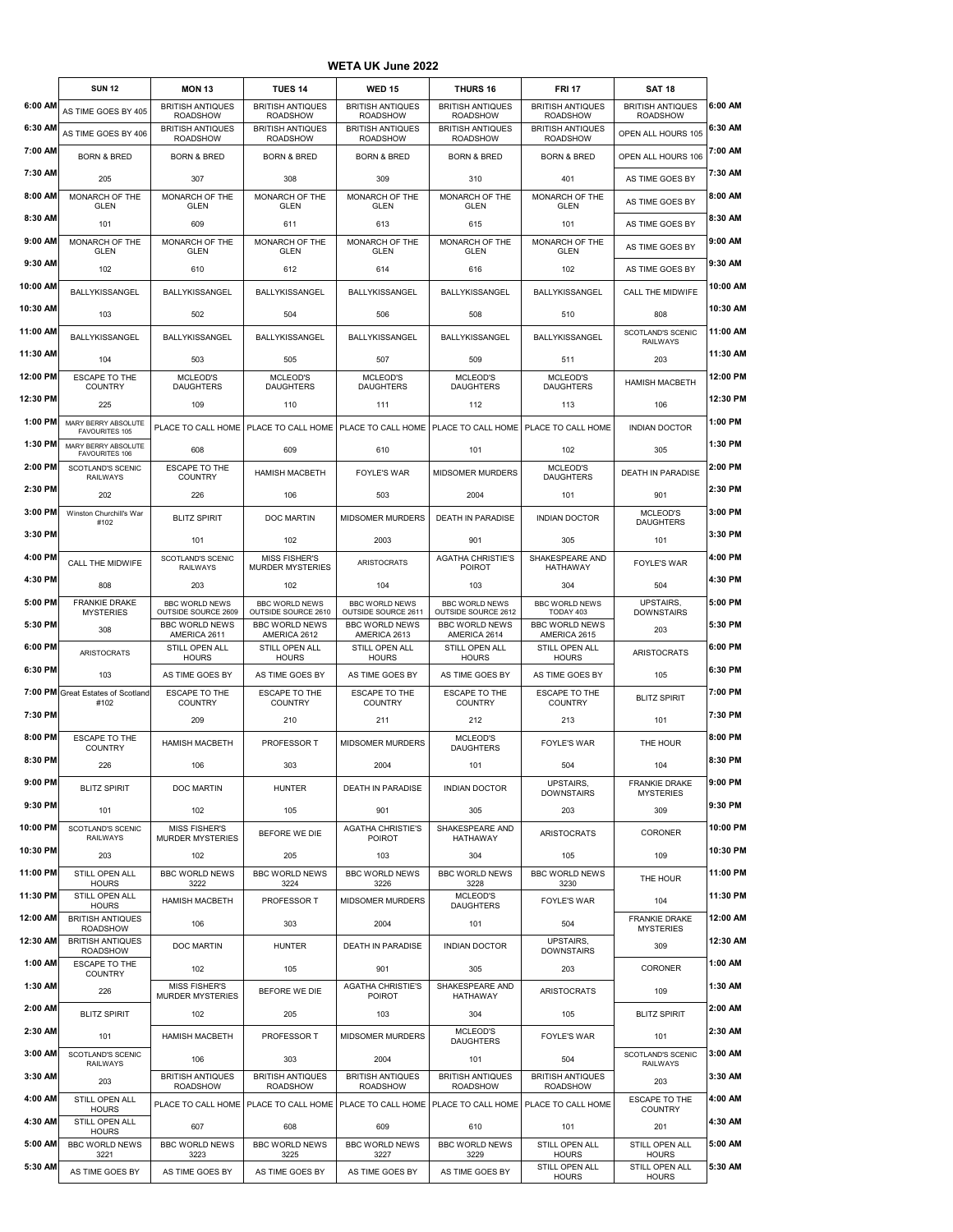|          | <b>SUN 12</b>                                                  | <b>MON 13</b>                                | TUES 14                                      | <b>WED 15</b>                                | <b>THURS 16</b>                              | <b>FRI 17</b>                              | <b>SAT 18</b>                              |          |
|----------|----------------------------------------------------------------|----------------------------------------------|----------------------------------------------|----------------------------------------------|----------------------------------------------|--------------------------------------------|--------------------------------------------|----------|
| 6:00 AM  | AS TIME GOES BY 405                                            | <b>BRITISH ANTIQUES</b><br><b>ROADSHOW</b>   | <b>BRITISH ANTIQUES</b><br><b>ROADSHOW</b>   | <b>BRITISH ANTIQUES</b><br><b>ROADSHOW</b>   | <b>BRITISH ANTIQUES</b><br><b>ROADSHOW</b>   | <b>BRITISH ANTIQUES</b><br><b>ROADSHOW</b> | <b>BRITISH ANTIQUES</b><br><b>ROADSHOW</b> | 6:00 AM  |
| 6:30 AM  | AS TIME GOES BY 406                                            | <b>BRITISH ANTIQUES</b><br><b>ROADSHOW</b>   | <b>BRITISH ANTIQUES</b><br><b>ROADSHOW</b>   | <b>BRITISH ANTIQUES</b><br><b>ROADSHOW</b>   | <b>BRITISH ANTIQUES</b><br><b>ROADSHOW</b>   | <b>BRITISH ANTIQUES</b><br><b>ROADSHOW</b> | OPEN ALL HOURS 105                         | 6:30 AM  |
| 7:00 AM  | <b>BORN &amp; BRED</b>                                         | <b>BORN &amp; BRED</b>                       | <b>BORN &amp; BRED</b>                       | <b>BORN &amp; BRED</b>                       | <b>BORN &amp; BRED</b>                       | <b>BORN &amp; BRED</b>                     | OPEN ALL HOURS 106                         | 7:00 AM  |
| 7:30 AM  | 205                                                            | 307                                          | 308                                          | 309                                          | 310                                          | 401                                        | AS TIME GOES BY                            | 7:30 AM  |
| 8:00 AM  | MONARCH OF THE<br><b>GLEN</b>                                  | <b>MONARCH OF THE</b><br><b>GLEN</b>         | <b>MONARCH OF THE</b><br><b>GLEN</b>         | MONARCH OF THE<br><b>GLEN</b>                | MONARCH OF THE<br>GLEN                       | MONARCH OF THE<br><b>GLEN</b>              | AS TIME GOES BY                            | 8:00 AM  |
| 8:30 AM  | 101                                                            | 609                                          | 611                                          | 613                                          | 615                                          | 101                                        | AS TIME GOES BY                            | 8:30 AM  |
| 9:00 AM  | MONARCH OF THE<br><b>GLEN</b>                                  | MONARCH OF THE<br><b>GLEN</b>                | MONARCH OF THE<br>GLEN                       | MONARCH OF THE<br><b>GLEN</b>                | MONARCH OF THE<br>GLEN                       | MONARCH OF THE<br><b>GLEN</b>              | AS TIME GOES BY                            | 9:00 AM  |
| 9:30 AM  | 102                                                            | 610                                          | 612                                          | 614                                          | 616                                          | 102                                        | AS TIME GOES BY                            | 9:30 AM  |
| 10:00 AM | BALLYKISSANGEL                                                 | BALLYKISSANGEL                               | BALLYKISSANGEL                               | BALLYKISSANGEL                               | BALLYKISSANGEL                               | BALLYKISSANGEL                             | CALL THE MIDWIFE                           | 10:00 AM |
| 10:30 AM | 103                                                            | 502                                          | 504                                          | 506                                          | 508                                          | 510                                        | 808                                        | 10:30 AM |
| 11:00 AM | BALLYKISSANGEL                                                 | BALLYKISSANGEL                               | BALLYKISSANGEL                               | BALLYKISSANGEL                               | BALLYKISSANGEL                               | BALLYKISSANGEL                             | SCOTLAND'S SCENIC<br><b>RAILWAYS</b>       | 11:00 AM |
| 11:30 AM | 104                                                            | 503                                          | 505                                          | 507                                          | 509                                          | 511                                        | 203                                        | 11:30 AM |
| 12:00 PM | <b>ESCAPE TO THE</b>                                           | MCLEOD'S                                     | MCLEOD'S                                     | MCLEOD'S                                     | MCLEOD'S                                     | MCLEOD'S                                   | <b>HAMISH MACBETH</b>                      | 12:00 PM |
| 12:30 PM | <b>COUNTRY</b><br>225                                          | <b>DAUGHTERS</b><br>109                      | <b>DAUGHTERS</b><br>110                      | <b>DAUGHTERS</b><br>111                      | <b>DAUGHTERS</b><br>112                      | <b>DAUGHTERS</b><br>113                    | 106                                        | 12:30 PM |
| 1:00 PM  | MARY BERRY ABSOLUTE                                            | PLACE TO CALL HOME                           | PLACE TO CALL HOME                           |                                              | PLACE TO CALL HOME PLACE TO CALL HOME        | PLACE TO CALL HOME                         | <b>INDIAN DOCTOR</b>                       | 1:00 PM  |
| 1:30 PM  | FAVOURITES 105<br>MARY BERRY ABSOLUTE<br><b>FAVOURITES 106</b> | 608                                          | 609                                          | 610                                          | 101                                          | 102                                        | 305                                        | 1:30 PM  |
| 2:00 PM  | SCOTLAND'S SCENIC                                              | <b>ESCAPE TO THE</b>                         | <b>HAMISH MACBETH</b>                        | <b>FOYLE'S WAR</b>                           | <b>MIDSOMER MURDERS</b>                      | <b>MCLEOD'S</b>                            | <b>DEATH IN PARADISE</b>                   | 2:00 PM  |
| 2:30 PM  | <b>RAILWAYS</b><br>202                                         | <b>COUNTRY</b><br>226                        | 106                                          | 503                                          | 2004                                         | <b>DAUGHTERS</b><br>101                    | 901                                        | 2:30 PM  |
| 3:00 PM  | Winston Churchill's War                                        | <b>BLITZ SPIRIT</b>                          | DOC MARTIN                                   | <b>MIDSOMER MURDERS</b>                      | <b>DEATH IN PARADISE</b>                     | <b>INDIAN DOCTOR</b>                       | MCLEOD'S                                   | 3:00 PM  |
| 3:30 PM  | #102                                                           | 101                                          | 102                                          | 2003                                         | 901                                          | 305                                        | <b>DAUGHTERS</b><br>101                    | 3:30 PM  |
| 4:00 PM  | <b>CALL THE MIDWIFE</b>                                        | SCOTLAND'S SCENIC                            | <b>MISS FISHER'S</b>                         | <b>ARISTOCRATS</b>                           | <b>AGATHA CHRISTIE'S</b>                     | SHAKESPEARE AND                            | <b>FOYLE'S WAR</b>                         | 4:00 PM  |
| 4:30 PM  | 808                                                            | <b>RAILWAYS</b><br>203                       | <b>MURDER MYSTERIES</b><br>102               | 104                                          | <b>POIROT</b><br>103                         | <b>HATHAWAY</b><br>304                     | 504                                        | 4:30 PM  |
| 5:00 PM  | <b>FRANKIE DRAKE</b>                                           | <b>BBC WORLD NEWS</b>                        | <b>BBC WORLD NEWS</b>                        | <b>BBC WORLD NEWS</b>                        | <b>BBC WORLD NEWS</b>                        | <b>BBC WORLD NEWS</b>                      | <b>UPSTAIRS</b>                            | 5:00 PM  |
| 5:30 PM  | <b>MYSTERIES</b><br>308                                        | OUTSIDE SOURCE 2609<br><b>BBC WORLD NEWS</b> | OUTSIDE SOURCE 2610<br><b>BBC WORLD NEWS</b> | OUTSIDE SOURCE 2611<br><b>BBC WORLD NEWS</b> | OUTSIDE SOURCE 2612<br><b>BBC WORLD NEWS</b> | TODAY 403<br><b>BBC WORLD NEWS</b>         | <b>DOWNSTAIRS</b><br>203                   | 5:30 PM  |
| 6:00 PM  | <b>ARISTOCRATS</b>                                             | AMERICA 2611<br>STILL OPEN ALL               | AMERICA 2612<br>STILL OPEN ALL               | AMERICA 2613<br>STILL OPEN ALL               | AMERICA 2614<br>STILL OPEN ALL               | AMERICA 2615<br>STILL OPEN ALL             | <b>ARISTOCRATS</b>                         | 6:00 PM  |
| 6:30 PM  | 103                                                            | <b>HOURS</b><br>AS TIME GOES BY              | <b>HOURS</b><br>AS TIME GOES BY              | <b>HOURS</b><br>AS TIME GOES BY              | <b>HOURS</b><br>AS TIME GOES BY              | <b>HOURS</b><br>AS TIME GOES BY            | 105                                        | 6:30 PM  |
|          | 7:00 PM Great Estates of Scotland                              | <b>ESCAPE TO THE</b>                         | <b>ESCAPE TO THE</b>                         | <b>ESCAPE TO THE</b>                         | <b>ESCAPE TO THE</b>                         | <b>ESCAPE TO THE</b>                       | <b>BLITZ SPIRIT</b>                        | 7:00 PM  |
| 7:30 PM  | #102                                                           | <b>COUNTRY</b><br>209                        | <b>COUNTRY</b><br>210                        | <b>COUNTRY</b><br>211                        | <b>COUNTRY</b><br>212                        | <b>COUNTRY</b><br>213                      | 101                                        | 7:30 PM  |
| 8:00 PM  | <b>ESCAPE TO THE</b>                                           | <b>HAMISH MACBETH</b>                        | PROFESSOR T                                  | <b>MIDSOMER MURDERS</b>                      | <b>MCLEOD'S</b>                              | <b>FOYLE'S WAR</b>                         | THE HOUR                                   | 8:00 PM  |
| 8:30 PM  | <b>COUNTRY</b><br>226                                          | 106                                          | 303                                          | 2004                                         | <b>DAUGHTERS</b><br>101                      | 504                                        | 104                                        | 8:30 PM  |
| 9:00 PM  | <b>BLITZ SPIRIT</b>                                            | DOC MARTIN                                   | <b>HUNTER</b>                                | <b>DEATH IN PARADISE</b>                     | <b>INDIAN DOCTOR</b>                         | UPSTAIRS,                                  | <b>FRANKIE DRAKE</b>                       | 9:00 PM  |
| 9:30 PM  | 101                                                            | 102                                          | 105                                          | 901                                          | 305                                          | <b>DOWNSTAIRS</b><br>203                   | <b>MYSTERIES</b><br>309                    | 9:30 PM  |
| 10:00 PM | SCOTLAND'S SCENIC                                              | <b>MISS FISHER'S</b>                         | BEFORE WE DIE                                | <b>AGATHA CHRISTIE'S</b>                     | SHAKESPEARE AND                              | <b>ARISTOCRATS</b>                         | <b>CORONER</b>                             | 10:00 PM |
| 10:30 PM | <b>RAILWAYS</b><br>203                                         | <b>MURDER MYSTERIES</b><br>102               | 205                                          | <b>POIROT</b><br>103                         | <b>HATHAWAY</b><br>304                       | 105                                        | 109                                        | 10:30 PM |
| 11:00 PM | STILL OPEN ALL                                                 | <b>BBC WORLD NEWS</b>                        | <b>BBC WORLD NEWS</b>                        | <b>BBC WORLD NEWS</b>                        | <b>BBC WORLD NEWS</b>                        | <b>BBC WORLD NEWS</b>                      | THE HOUR                                   | 11:00 PM |
| 11:30 PM | <b>HOURS</b><br>STILL OPEN ALL                                 | 3222<br><b>HAMISH MACBETH</b>                | 3224<br>PROFESSOR T                          | 3226<br>MIDSOMER MURDERS                     | 3228<br>MCLEOD'S                             | 3230<br><b>FOYLE'S WAR</b>                 | 104                                        | 11:30 PM |
| 12:00 AM | <b>HOURS</b><br><b>BRITISH ANTIQUES</b>                        | 106                                          | 303                                          | 2004                                         | <b>DAUGHTERS</b><br>101                      | 504                                        | <b>FRANKIE DRAKE</b>                       | 12:00 AM |
| 12:30 AM | <b>ROADSHOW</b><br><b>BRITISH ANTIQUES</b>                     | <b>DOC MARTIN</b>                            | <b>HUNTER</b>                                | <b>DEATH IN PARADISE</b>                     | <b>INDIAN DOCTOR</b>                         | UPSTAIRS,                                  | <b>MYSTERIES</b><br>309                    | 12:30 AM |
| 1:00 AM  | <b>ROADSHOW</b><br><b>ESCAPE TO THE</b>                        | 102                                          | 105                                          | 901                                          | 305                                          | <b>DOWNSTAIRS</b><br>203                   | <b>CORONER</b>                             | 1:00 AM  |
| 1:30 AM  | <b>COUNTRY</b>                                                 | <b>MISS FISHER'S</b>                         |                                              | <b>AGATHA CHRISTIE'S</b>                     | SHAKESPEARE AND                              |                                            |                                            | 1:30 AM  |
| 2:00 AM  | 226<br><b>BLITZ SPIRIT</b>                                     | <b>MURDER MYSTERIES</b>                      | BEFORE WE DIE                                | <b>POIROT</b>                                | HATHAWAY                                     | <b>ARISTOCRATS</b>                         | 109                                        | 2:00 AM  |
| 2:30 AM  |                                                                | 102                                          | 205                                          | 103                                          | 304<br><b>MCLEOD'S</b>                       | 105                                        | <b>BLITZ SPIRIT</b>                        | 2:30 AM  |
| 3:00 AM  | 101<br>SCOTLAND'S SCENIC                                       | <b>HAMISH MACBETH</b>                        | PROFESSOR T                                  | MIDSOMER MURDERS                             | <b>DAUGHTERS</b>                             | <b>FOYLE'S WAR</b>                         | 101<br>SCOTLAND'S SCENIC                   | 3:00 AM  |
| 3:30 AM  | <b>RAILWAYS</b>                                                | 106<br><b>BRITISH ANTIQUES</b>               | 303<br><b>BRITISH ANTIQUES</b>               | 2004<br><b>BRITISH ANTIQUES</b>              | 101<br><b>BRITISH ANTIQUES</b>               | 504<br><b>BRITISH ANTIQUES</b>             | <b>RAILWAYS</b>                            | 3:30 AM  |
| 4:00 AM  | 203<br>STILL OPEN ALL                                          | <b>ROADSHOW</b>                              | <b>ROADSHOW</b>                              | <b>ROADSHOW</b>                              | <b>ROADSHOW</b>                              | <b>ROADSHOW</b>                            | 203<br><b>ESCAPE TO THE</b>                | 4:00 AM  |
| 4:30 AM  | <b>HOURS</b><br>STILL OPEN ALL                                 | PLACE TO CALL HOME                           | PLACE TO CALL HOME                           |                                              | PLACE TO CALL HOME   PLACE TO CALL HOME      | PLACE TO CALL HOME                         | <b>COUNTRY</b>                             | 4:30 AM  |
| 5:00 AM  | <b>HOURS</b><br><b>BBC WORLD NEWS</b>                          | 607<br><b>BBC WORLD NEWS</b>                 | 608<br><b>BBC WORLD NEWS</b>                 | 609<br><b>BBC WORLD NEWS</b>                 | 610<br><b>BBC WORLD NEWS</b>                 | 101<br>STILL OPEN ALL                      | 201<br>STILL OPEN ALL                      | 5:00 AM  |
| 5:30 AM  | 3221                                                           | 3223                                         | 3225                                         | 3227                                         | 3229                                         | <b>HOURS</b><br>STILL OPEN ALL             | <b>HOURS</b><br>STILL OPEN ALL             | 5:30 AM  |
|          | AS TIME GOES BY                                                | AS TIME GOES BY                              | AS TIME GOES BY                              | AS TIME GOES BY                              | AS TIME GOES BY                              | <b>HOURS</b>                               | <b>HOURS</b>                               |          |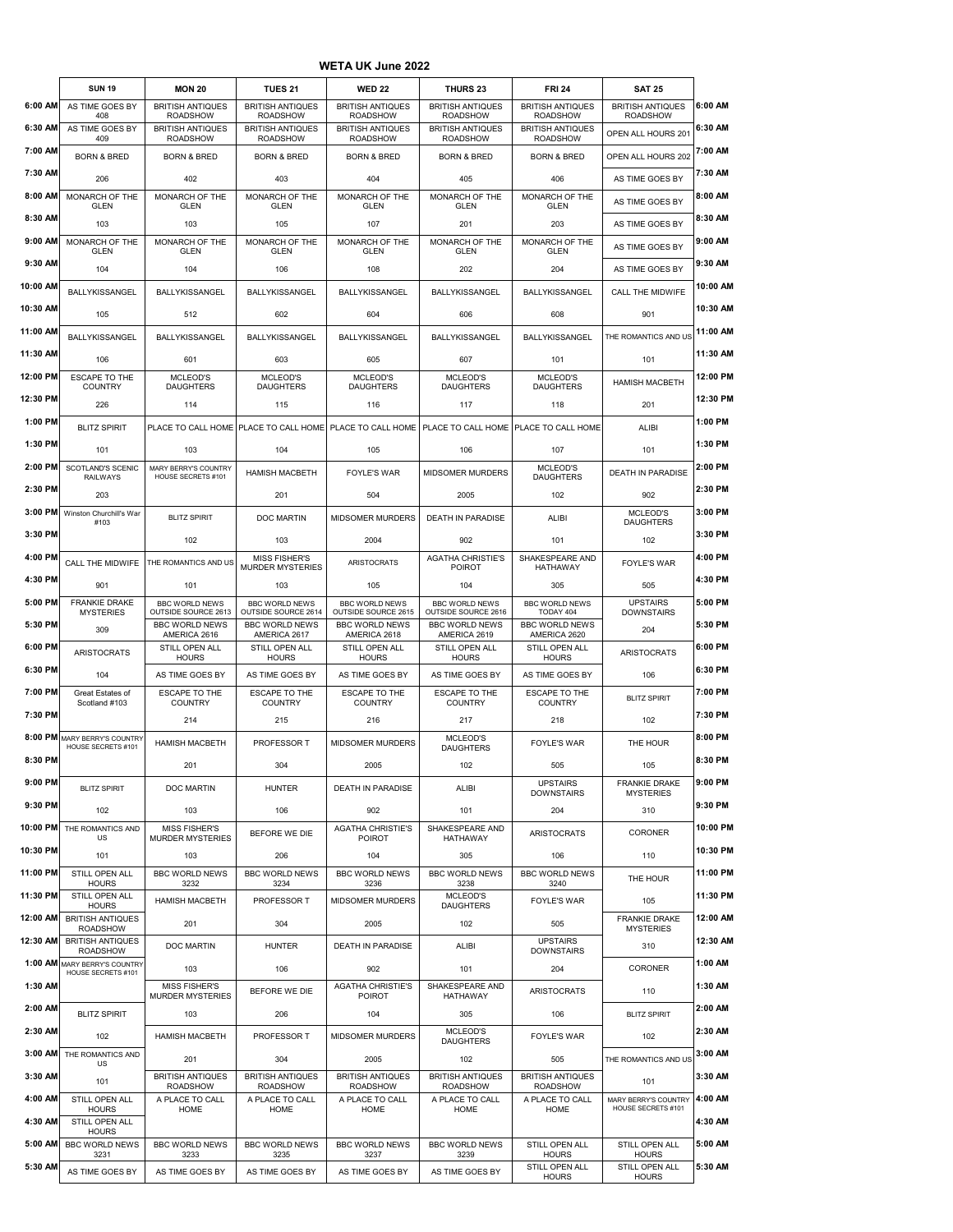|          | <b>SUN 19</b>                              | <b>MON 20</b>                                | <b>TUES 21</b>                                  | <b>WED 22</b>                                                                                        | <b>THURS 23</b>                              | <b>FRI 24</b>                              | <b>SAT 25</b>                              |          |
|----------|--------------------------------------------|----------------------------------------------|-------------------------------------------------|------------------------------------------------------------------------------------------------------|----------------------------------------------|--------------------------------------------|--------------------------------------------|----------|
| 6:00 AM  | AS TIME GOES BY<br>408                     | <b>BRITISH ANTIQUES</b><br><b>ROADSHOW</b>   | <b>BRITISH ANTIQUES</b><br><b>ROADSHOW</b>      | <b>BRITISH ANTIQUES</b><br><b>ROADSHOW</b>                                                           | <b>BRITISH ANTIQUES</b><br><b>ROADSHOW</b>   | <b>BRITISH ANTIQUES</b><br><b>ROADSHOW</b> | <b>BRITISH ANTIQUES</b><br><b>ROADSHOW</b> | 6:00 AM  |
| 6:30 AM  | AS TIME GOES BY<br>409                     | <b>BRITISH ANTIQUES</b><br><b>ROADSHOW</b>   | <b>BRITISH ANTIQUES</b><br><b>ROADSHOW</b>      | <b>BRITISH ANTIQUES</b><br><b>ROADSHOW</b>                                                           | <b>BRITISH ANTIQUES</b><br><b>ROADSHOW</b>   | <b>BRITISH ANTIQUES</b><br><b>ROADSHOW</b> | OPEN ALL HOURS 201                         | 6:30 AM  |
| 7:00 AM  | <b>BORN &amp; BRED</b>                     | <b>BORN &amp; BRED</b>                       | <b>BORN &amp; BRED</b>                          | <b>BORN &amp; BRED</b>                                                                               | <b>BORN &amp; BRED</b>                       | <b>BORN &amp; BRED</b>                     | OPEN ALL HOURS 202                         | 7:00 AM  |
| 7:30 AM  | 206                                        | 402                                          | 403                                             | 404                                                                                                  | 405                                          | 406                                        | AS TIME GOES BY                            | 7:30 AM  |
| 8:00 AM  | MONARCH OF THE                             | MONARCH OF THE                               | MONARCH OF THE                                  | MONARCH OF THE                                                                                       | MONARCH OF THE                               | MONARCH OF THE                             | AS TIME GOES BY                            | 8:00 AM  |
| 8:30 AM  | <b>GLEN</b><br>103                         | <b>GLEN</b><br>103                           | <b>GLEN</b><br>105                              | GLEN<br>107                                                                                          | GLEN<br>201                                  | <b>GLEN</b><br>203                         | AS TIME GOES BY                            | 8:30 AM  |
| 9:00 AM  | MONARCH OF THE                             | MONARCH OF THE                               | MONARCH OF THE                                  | MONARCH OF THE                                                                                       | MONARCH OF THE                               | MONARCH OF THE                             | AS TIME GOES BY                            | 9:00 AM  |
| 9:30 AM  | <b>GLEN</b>                                | <b>GLEN</b>                                  | <b>GLEN</b>                                     | <b>GLEN</b>                                                                                          | <b>GLEN</b>                                  | <b>GLEN</b>                                |                                            | 9:30 AM  |
| 10:00 AM | 104                                        | 104                                          | 106                                             | 108                                                                                                  | 202                                          | 204                                        | AS TIME GOES BY                            | 10:00 AM |
| 10:30 AM | BALLYKISSANGEL                             | BALLYKISSANGEL                               | BALLYKISSANGEL                                  | BALLYKISSANGEL                                                                                       | BALLYKISSANGEL                               | BALLYKISSANGEL                             | CALL THE MIDWIFE                           | 10:30 AM |
| 11:00 AM | 105                                        | 512                                          | 602                                             | 604                                                                                                  | 606                                          | 608                                        | 901                                        | 11:00 AM |
| 11:30 AM | BALLYKISSANGEL                             | BALLYKISSANGEL                               | BALLYKISSANGEL                                  | BALLYKISSANGEL                                                                                       | BALLYKISSANGEL                               | BALLYKISSANGEL                             | THE ROMANTICS AND US                       | 11:30 AM |
| 12:00 PM | 106                                        | 601                                          | 603                                             | 605                                                                                                  | 607                                          | 101                                        | 101                                        | 12:00 PM |
|          | <b>ESCAPE TO THE</b><br><b>COUNTRY</b>     | <b>MCLEOD'S</b><br><b>DAUGHTERS</b>          | <b>MCLEOD'S</b><br><b>DAUGHTERS</b>             | <b>MCLEOD'S</b><br><b>DAUGHTERS</b>                                                                  | <b>MCLEOD'S</b><br>DAUGHTERS                 | <b>MCLEOD'S</b><br>DAUGHTERS               | <b>HAMISH MACBETH</b>                      |          |
| 12:30 PM | 226                                        | 114                                          | 115                                             | 116                                                                                                  | 117                                          | 118                                        | 201                                        | 12:30 PM |
| 1:00 PM  | <b>BLITZ SPIRIT</b>                        |                                              |                                                 | PLACE TO CALL HOME PLACE TO CALL HOME   PLACE TO CALL HOME   PLACE TO CALL HOME   PLACE TO CALL HOME |                                              |                                            | <b>ALIBI</b>                               | 1:00 PM  |
| 1:30 PM  | 101                                        | 103                                          | 104                                             | 105                                                                                                  | 106                                          | 107                                        | 101                                        | 1:30 PM  |
| 2:00 PM  | SCOTI AND'S SCENIC<br><b>RAILWAYS</b>      | MARY BERRY'S COUNTRY<br>HOUSE SECRETS #101   | <b>HAMISH MACBETH</b>                           | <b>FOYLE'S WAR</b>                                                                                   | MIDSOMER MURDERS                             | MCLEOD'S<br><b>DAUGHTERS</b>               | <b>DEATH IN PARADISE</b>                   | 2:00 PM  |
| 2:30 PM  | 203                                        |                                              | 201                                             | 504                                                                                                  | 2005                                         | 102                                        | 902                                        | 2:30 PM  |
| 3:00 PM  | Winston Churchill's War<br>#103            | <b>BLITZ SPIRIT</b>                          | <b>DOC MARTIN</b>                               | MIDSOMER MURDERS                                                                                     | <b>DEATH IN PARADISE</b>                     | <b>ALIBI</b>                               | MCLEOD'S<br><b>DAUGHTERS</b>               | 3:00 PM  |
| 3:30 PM  |                                            | 102                                          | 103                                             | 2004                                                                                                 | 902                                          | 101                                        | 102                                        | 3:30 PM  |
| 4:00 PM  | CALL THE MIDWIFE                           | THE ROMANTICS AND US                         | <b>MISS FISHER'S</b><br><b>MURDER MYSTERIES</b> | <b>ARISTOCRATS</b>                                                                                   | <b>AGATHA CHRISTIE'S</b><br><b>POIROT</b>    | SHAKESPEARE AND<br><b>HATHAWAY</b>         | <b>FOYLE'S WAR</b>                         | 4:00 PM  |
| 4:30 PM  | 901                                        | 101                                          | 103                                             | 105                                                                                                  | 104                                          | 305                                        | 505                                        | 4:30 PM  |
| 5:00 PM  | <b>FRANKIE DRAKE</b><br><b>MYSTERIES</b>   | <b>BBC WORLD NEWS</b><br>OUTSIDE SOURCE 2613 | <b>BBC WORLD NEWS</b><br>OUTSIDE SOURCE 2614    | <b>BBC WORLD NEWS</b><br>OUTSIDE SOURCE 2615                                                         | <b>BBC WORLD NEWS</b><br>OUTSIDE SOURCE 2616 | <b>BBC WORLD NEWS</b><br>TODAY 404         | <b>UPSTAIRS</b><br><b>DOWNSTAIRS</b>       | 5:00 PM  |
| 5:30 PM  | 309                                        | <b>BBC WORLD NEWS</b><br>AMERICA 2616        | <b>BBC WORLD NEWS</b><br>AMERICA 2617           | <b>BBC WORLD NEWS</b><br>AMERICA 2618                                                                | <b>BBC WORLD NEWS</b><br>AMERICA 2619        | <b>BBC WORLD NEWS</b><br>AMERICA 2620      | 204                                        | 5:30 PM  |
| 6:00 PM  | <b>ARISTOCRATS</b>                         | STILL OPEN ALL<br><b>HOURS</b>               | STILL OPEN ALL<br><b>HOURS</b>                  | STILL OPEN ALL<br><b>HOURS</b>                                                                       | STILL OPEN ALL<br><b>HOURS</b>               | STILL OPEN ALL<br><b>HOURS</b>             | <b>ARISTOCRATS</b>                         | 6:00 PM  |
| 6:30 PM  | 104                                        | AS TIME GOES BY                              | AS TIME GOES BY                                 | AS TIME GOES BY                                                                                      | AS TIME GOES BY                              | AS TIME GOES BY                            | 106                                        | 6:30 PM  |
| 7:00 PM  | Great Estates of<br>Scotland #103          | <b>ESCAPE TO THE</b><br><b>COUNTRY</b>       | <b>ESCAPE TO THE</b><br><b>COUNTRY</b>          | <b>ESCAPE TO THE</b><br><b>COUNTRY</b>                                                               | <b>ESCAPE TO THE</b><br><b>COUNTRY</b>       | <b>ESCAPE TO THE</b><br><b>COUNTRY</b>     | <b>BLITZ SPIRIT</b>                        | 7:00 PM  |
| 7:30 PM  |                                            | 214                                          | 215                                             | 216                                                                                                  | 217                                          | 218                                        | 102                                        | 7:30 PM  |
| 8:00 PM  | MARY BERRY'S COUNTRY<br>HOUSE SECRETS #101 | <b>HAMISH MACBETH</b>                        | PROFESSOR T                                     | <b>MIDSOMER MURDERS</b>                                                                              | MCLEOD'S<br><b>DAUGHTERS</b>                 | <b>FOYLE'S WAR</b>                         | THE HOUR                                   | 8:00 PM  |
| 8:30 PM  |                                            | 201                                          | 304                                             | 2005                                                                                                 | 102                                          | 505                                        | 105                                        | 8:30 PM  |
| 9:00 PM  | <b>BLITZ SPIRIT</b>                        | DOC MARTIN                                   | <b>HUNTER</b>                                   | DEATH IN PARADISE                                                                                    | ALIBI                                        | <b>UPSTAIRS</b>                            | <b>FRANKIE DRAKE</b>                       | 9:00 PM  |
| 9:30 PM  | 102                                        | 103                                          | 106                                             | 902                                                                                                  | 101                                          | <b>DOWNSTAIRS</b><br>204                   | <b>MYSTERIES</b><br>310                    | 9:30 PM  |
| 10:00 PM | THE ROMANTICS AND                          | <b>MISS FISHER'S</b>                         | BEFORE WE DIE                                   | <b>AGATHA CHRISTIE'S</b>                                                                             | SHAKESPEARE AND                              | <b>ARISTOCRATS</b>                         | <b>CORONER</b>                             | 10:00 PM |
| 10:30 PM | US<br>101                                  | <b>MURDER MYSTERIES</b><br>103               | 206                                             | <b>POIROT</b><br>104                                                                                 | <b>HATHAWAY</b><br>305                       | 106                                        | 110                                        | 10:30 PM |
| 11:00 PM | STILL OPEN ALL                             | <b>BBC WORLD NEWS</b>                        | <b>BBC WORLD NEWS</b>                           | <b>BBC WORLD NEWS</b>                                                                                | <b>BBC WORLD NEWS</b>                        | <b>BBC WORLD NEWS</b>                      | THE HOUR                                   | 11:00 PM |
| 11:30 PM | <b>HOURS</b><br>STILL OPEN ALL             | 3232<br><b>HAMISH MACBETH</b>                | 3234<br>PROFESSOR T                             | 3236<br>MIDSOMER MURDERS                                                                             | 3238<br>MCLEOD'S                             | 3240<br><b>FOYLE'S WAR</b>                 | 105                                        | 11:30 PM |
| 12:00 AM | <b>HOURS</b><br><b>BRITISH ANTIQUES</b>    | 201                                          | 304                                             | 2005                                                                                                 | <b>DAUGHTERS</b><br>102                      | 505                                        | <b>FRANKIE DRAKE</b>                       | 12:00 AM |
| 12:30 AM | <b>ROADSHOW</b><br><b>BRITISH ANTIQUES</b> | <b>DOC MARTIN</b>                            | <b>HUNTER</b>                                   | <b>DEATH IN PARADISE</b>                                                                             | <b>ALIBI</b>                                 | <b>UPSTAIRS</b>                            | <b>MYSTERIES</b><br>310                    | 12:30 AM |
| 1:00 AM  | <b>ROADSHOW</b><br>MARY BERRY'S COUNTRY    | 103                                          | 106                                             | 902                                                                                                  | 101                                          | <b>DOWNSTAIRS</b><br>204                   | <b>CORONER</b>                             | 1:00 AM  |
| 1:30 AM  | HOUSE SECRETS #101                         | <b>MISS FISHER'S</b>                         | BEFORE WE DIE                                   | <b>AGATHA CHRISTIE'S</b>                                                                             | SHAKESPEARE AND                              | <b>ARISTOCRATS</b>                         |                                            | 1:30 AM  |
| 2:00 AM  | <b>BLITZ SPIRIT</b>                        | <b>MURDER MYSTERIES</b><br>103               | 206                                             | <b>POIROT</b><br>104                                                                                 | <b>HATHAWAY</b><br>305                       | 106                                        | 110<br><b>BLITZ SPIRIT</b>                 | 2:00 AM  |
| 2:30 AM  | 102                                        | <b>HAMISH MACBETH</b>                        | PROFESSOR T                                     | MIDSOMER MURDERS                                                                                     | MCLEOD'S                                     | <b>FOYLE'S WAR</b>                         | 102                                        | 2:30 AM  |
| 3:00 AM  | THE ROMANTICS AND                          |                                              |                                                 |                                                                                                      | <b>DAUGHTERS</b>                             |                                            |                                            | 3:00 AM  |
| 3:30 AM  | US                                         | 201<br><b>BRITISH ANTIQUES</b>               | 304<br><b>BRITISH ANTIQUES</b>                  | 2005<br><b>BRITISH ANTIQUES</b>                                                                      | 102<br><b>BRITISH ANTIQUES</b>               | 505<br><b>BRITISH ANTIQUES</b>             | THE ROMANTICS AND US                       | 3:30 AM  |
| 4:00 AM  | 101<br>STILL OPEN ALL                      | <b>ROADSHOW</b><br>A PLACE TO CALL           | <b>ROADSHOW</b><br>A PLACE TO CALL              | <b>ROADSHOW</b><br>A PLACE TO CALL                                                                   | <b>ROADSHOW</b><br>A PLACE TO CALL           | <b>ROADSHOW</b><br>A PLACE TO CALL         | 101<br>MARY BERRY'S COUNTRY                | 4:00 AM  |
| 4:30 AM  | <b>HOURS</b><br>STILL OPEN ALL             | HOME                                         | HOME                                            | HOME                                                                                                 | <b>HOME</b>                                  | <b>HOME</b>                                | HOUSE SECRETS #101                         | 4:30 AM  |
| 5:00 AM  | <b>HOURS</b><br><b>BBC WORLD NEWS</b>      | <b>BBC WORLD NEWS</b>                        | <b>BBC WORLD NEWS</b>                           | <b>BBC WORLD NEWS</b>                                                                                | <b>BBC WORLD NEWS</b>                        | STILL OPEN ALL                             | STILL OPEN ALL                             | 5:00 AM  |
| 5:30 AM  | 3231                                       | 3233                                         | 3235                                            | 3237                                                                                                 | 3239                                         | <b>HOURS</b><br>STILL OPEN ALL             | <b>HOURS</b><br>STILL OPEN ALL             | 5:30 AM  |
|          | AS TIME GOES BY                            | AS TIME GOES BY                              | AS TIME GOES BY                                 | AS TIME GOES BY                                                                                      | AS TIME GOES BY                              | <b>HOURS</b>                               | <b>HOURS</b>                               |          |